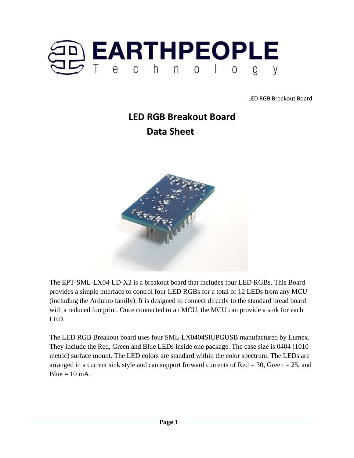

# **LED RGB Breakout Board Data Sheet**



The EPT-SML-LX04-LD-X2 is a breakout board that includes four LED RGBs. This Board provides a simple interface to control four LED RGBs for a total of 12 LEDs from any MCU (including the Arduino family). It is designed to connect directly to the standard bread board with a reduced footprint. Once connected to an MCU, the MCU can provide a sink for each LED.

The LED RGB Breakout board uses four SML-LX0404SIUPGUSB manufactured by Lumex. They include the Red, Green and Blue LEDs inside one package. The case size is 0404 (1010 metric) surface mount. The LED colors are standard within the color spectrum. The LEDs are arranged in a current sink style and can support forward currents of  $Red = 30$ , Green  $= 25$ , and  $Blue = 10$  mA.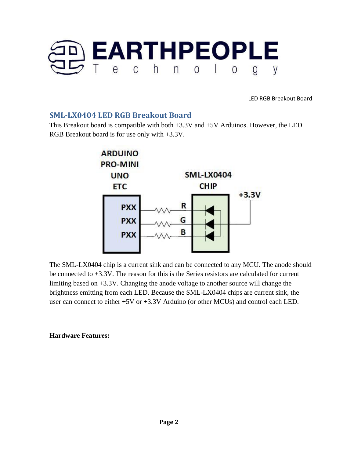

### **SML-LX0404 LED RGB Breakout Board**

This Breakout board is compatible with both +3.3V and +5V Arduinos. However, the LED RGB Breakout board is for use only with +3.3V.



The SML-LX0404 chip is a current sink and can be connected to any MCU. The anode should be connected to +3.3V. The reason for this is the Series resistors are calculated for current limiting based on +3.3V. Changing the anode voltage to another source will change the brightness emitting from each LED. Because the SML-LX0404 chips are current sink, the user can connect to either +5V or +3.3V Arduino (or other MCUs) and control each LED.

### **Hardware Features:**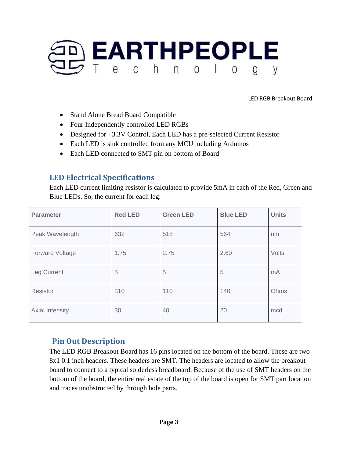

- Stand Alone Bread Board Compatible
- Four Independently controlled LED RGBs
- Designed for +3.3V Control, Each LED has a pre-selected Current Resistor
- Each LED is sink controlled from any MCU including Arduinos
- Each LED connected to SMT pin on bottom of Board

## **LED Electrical Specifications**

Each LED current limiting resistor is calculated to provide 5mA in each of the Red, Green and Blue LEDs. So, the current for each leg:

| <b>Parameter</b>       | <b>Red LED</b> | <b>Green LED</b> | <b>Blue LED</b> | <b>Units</b> |
|------------------------|----------------|------------------|-----------------|--------------|
| Peak Wavelength        | 632            | 518              | 564             | nm           |
| <b>Forward Voltage</b> | 1.75           | 2.75             | 2.60            | Volts        |
| Leg Current            | 5              | 5                | 5               | mA           |
| Resistor               | 310            | 110              | 140             | Ohms         |
| Axial Intensity        | 30             | 40               | 20              | mcd          |

# **Pin Out Description**

The LED RGB Breakout Board has 16 pins located on the bottom of the board. These are two 8x1 0.1 inch headers. These headers are SMT. The headers are located to allow the breakout board to connect to a typical solderless breadboard. Because of the use of SMT headers on the bottom of the board, the entire real estate of the top of the board is open for SMT part location and traces unobstructed by through hole parts.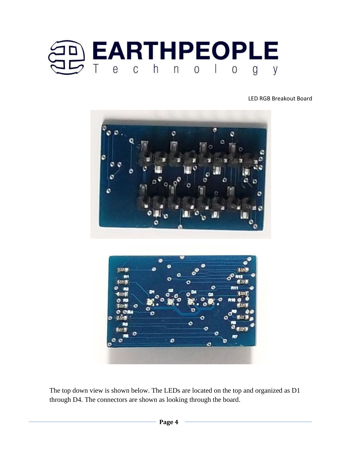





The top down view is shown below. The LEDs are located on the top and organized as D1 through D4. The connectors are shown as looking through the board.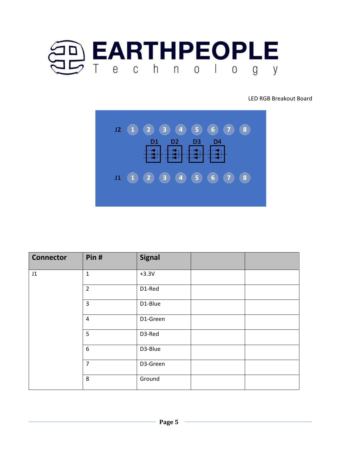



| <b>Connector</b>           | Pin#             | <b>Signal</b> |  |
|----------------------------|------------------|---------------|--|
| $\ensuremath{\mathsf{J1}}$ | $\mathbf{1}$     | $+3.3V$       |  |
|                            | $\overline{2}$   | D1-Red        |  |
|                            | 3                | D1-Blue       |  |
|                            | $\pmb{4}$        | D1-Green      |  |
|                            | 5                | D3-Red        |  |
|                            | $\boldsymbol{6}$ | D3-Blue       |  |
|                            | $\overline{7}$   | D3-Green      |  |
|                            | 8                | Ground        |  |